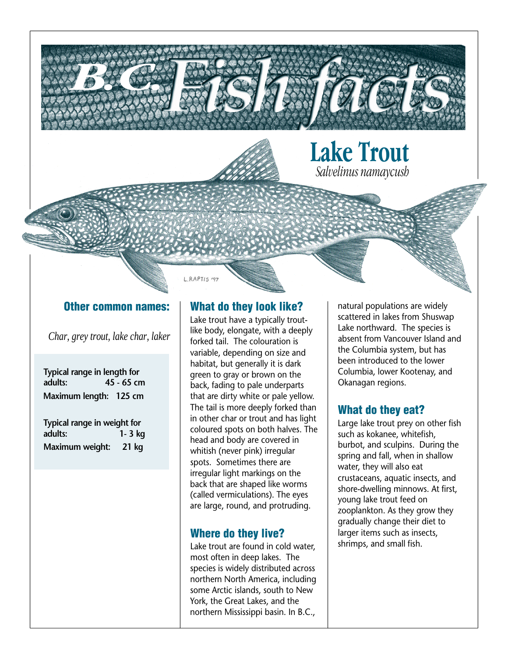

#### Other common names:

*Char, grey trout, lake char, laker*

| Typical range in length for            |            |
|----------------------------------------|------------|
| adults:                                | 45 - 65 cm |
| Maximum length: 125 cm                 |            |
| Typical range in weight for<br>adults: | $1 - 3$ kg |
| Maximum weight: 21 kg                  |            |

### What do they look like?

Lake trout have a typically troutlike body, elongate, with a deeply forked tail. The colouration is variable, depending on size and habitat, but generally it is dark green to gray or brown on the back, fading to pale underparts that are dirty white or pale yellow. The tail is more deeply forked than in other char or trout and has light coloured spots on both halves. The head and body are covered in whitish (never pink) irregular spots. Sometimes there are irregular light markings on the back that are shaped like worms (called vermiculations). The eyes are large, round, and protruding.

#### Where do they live?

Lake trout are found in cold water, most often in deep lakes. The species is widely distributed across northern North America, including some Arctic islands, south to New York, the Great Lakes, and the northern Mississippi basin. In B.C.,

natural populations are widely scattered in lakes from Shuswap Lake northward. The species is absent from Vancouver Island and the Columbia system, but has been introduced to the lower Columbia, lower Kootenay, and Okanagan regions.

#### What do they eat?

Large lake trout prey on other fish such as kokanee, whitefish, burbot, and sculpins. During the spring and fall, when in shallow water, they will also eat crustaceans, aquatic insects, and shore-dwelling minnows. At first, young lake trout feed on zooplankton. As they grow they gradually change their diet to larger items such as insects, shrimps, and small fish.